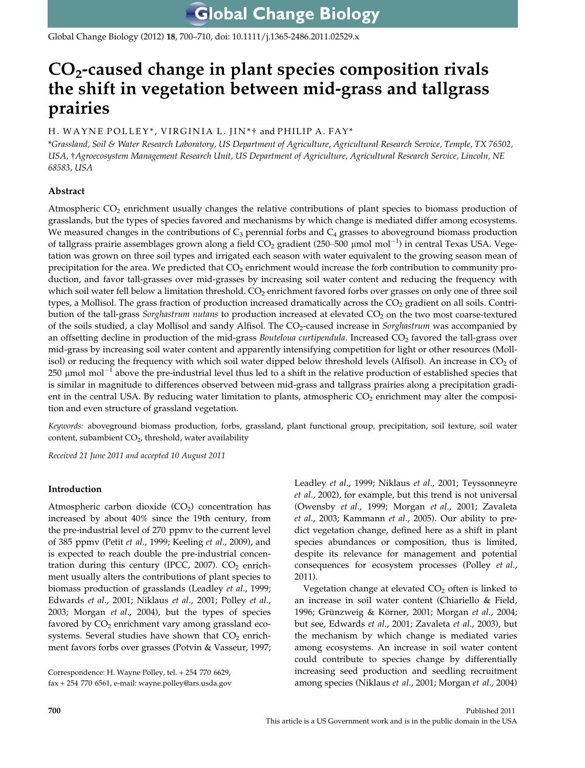Global Change Biology (2012) 18, 700–710, doi: 10.1111/j.1365-2486.2011.02529.x

# $CO<sub>2</sub>$ -caused change in plant species composition rivals the shift in vegetation between mid-grass and tallgrass prairies

# H. WAYNE POLLEY\*, VIRGINIA L. JIN\*† and PHILIP A. FAY\*

\*Grassland, Soil & Water Research Laboratory, US Department of Agriculture, Agricultural Research Service, Temple, TX 76502, USA, †Agroecosystem Management Research Unit, US Department of Agriculture, Agricultural Research Service, Lincoln, NE 68583, USA

# Abstract

Atmospheric CO<sub>2</sub> enrichment usually changes the relative contributions of plant species to biomass production of grasslands, but the types of species favored and mechanisms by which change is mediated differ among ecosystems. We measured changes in the contributions of  $C_3$  perennial forbs and  $C_4$  grasses to aboveground biomass production of tallgrass prairie assemblages grown along a field CO<sub>2</sub> gradient (250–500 µmol mol $^{-1}$ ) in central Texas USA. Vegetation was grown on three soil types and irrigated each season with water equivalent to the growing season mean of precipitation for the area. We predicted that  $CO<sub>2</sub>$  enrichment would increase the forb contribution to community production, and favor tall-grasses over mid-grasses by increasing soil water content and reducing the frequency with which soil water fell below a limitation threshold.  $CO<sub>2</sub>$  enrichment favored forbs over grasses on only one of three soil types, a Mollisol. The grass fraction of production increased dramatically across the  $CO<sub>2</sub>$  gradient on all soils. Contribution of the tall-grass Sorghastrum nutans to production increased at elevated CO<sub>2</sub> on the two most coarse-textured of the soils studied, a clay Mollisol and sandy Alfisol. The CO<sub>2</sub>-caused increase in Sorghastrum was accompanied by an offsetting decline in production of the mid-grass Bouteloua curtipendula. Increased  $CO<sub>2</sub>$  favored the tall-grass over mid-grass by increasing soil water content and apparently intensifying competition for light or other resources (Mollisol) or reducing the frequency with which soil water dipped below threshold levels (Alfisol). An increase in  $CO<sub>2</sub>$  of  $250 \mu$  mol mol<sup>-1</sup> above the pre-industrial level thus led to a shift in the relative production of established species that is similar in magnitude to differences observed between mid-grass and tallgrass prairies along a precipitation gradient in the central USA. By reducing water limitation to plants, atmospheric  $CO<sub>2</sub>$  enrichment may alter the composition and even structure of grassland vegetation.

Keywords: aboveground biomass production, forbs, grassland, plant functional group, precipitation, soil texture, soil water content, subambient CO<sub>2</sub>, threshold, water availability

Received 21 June 2011 and accepted 10 August 2011

# Introduction

Atmospheric carbon dioxide  $(CO<sub>2</sub>)$  concentration has increased by about 40% since the 19th century, from the pre-industrial level of 270 ppmv to the current level of 385 ppmv (Petit et al., 1999; Keeling et al., 2009), and is expected to reach double the pre-industrial concentration during this century (IPCC, 2007).  $CO<sub>2</sub>$  enrichment usually alters the contributions of plant species to biomass production of grasslands (Leadley et al., 1999; Edwards et al., 2001; Niklaus et al., 2001; Polley et al., 2003; Morgan et al., 2004), but the types of species favored by  $CO<sub>2</sub>$  enrichment vary among grassland ecosystems. Several studies have shown that  $CO<sub>2</sub>$  enrichment favors forbs over grasses (Potvin & Vasseur, 1997;

Correspondence: H. Wayne Polley, tel. + 254 770 6629, fax + 254 770 6561, e-mail: wayne.polley@ars.usda.gov Leadley et al., 1999; Niklaus et al., 2001; Teyssonneyre et al., 2002), for example, but this trend is not universal (Owensby et al., 1999; Morgan et al., 2001; Zavaleta et al., 2003; Kammann et al., 2005). Our ability to predict vegetation change, defined here as a shift in plant species abundances or composition, thus is limited, despite its relevance for management and potential consequences for ecosystem processes (Polley et al., 2011).

Vegetation change at elevated  $CO<sub>2</sub>$  often is linked to an increase in soil water content (Chiariello & Field, 1996; Grünzweig & Körner, 2001; Morgan et al., 2004; but see, Edwards et al., 2001; Zavaleta et al., 2003), but the mechanism by which change is mediated varies among ecosystems. An increase in soil water content could contribute to species change by differentially increasing seed production and seedling recruitment among species (Niklaus et al., 2001; Morgan et al., 2004)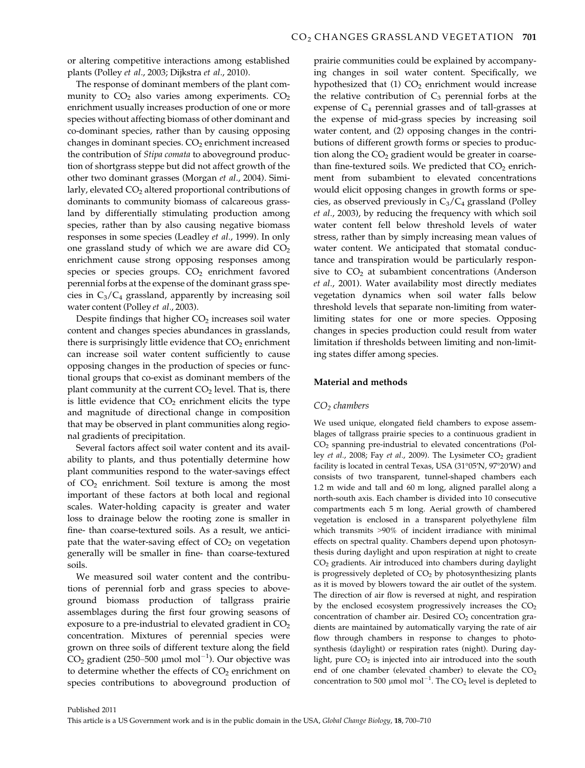or altering competitive interactions among established plants (Polley et al., 2003; Dijkstra et al., 2010).

The response of dominant members of the plant community to  $CO<sub>2</sub>$  also varies among experiments.  $CO<sub>2</sub>$ enrichment usually increases production of one or more species without affecting biomass of other dominant and co-dominant species, rather than by causing opposing changes in dominant species.  $CO<sub>2</sub>$  enrichment increased the contribution of Stipa comata to aboveground production of shortgrass steppe but did not affect growth of the other two dominant grasses (Morgan et al., 2004). Similarly, elevated CO<sub>2</sub> altered proportional contributions of dominants to community biomass of calcareous grassland by differentially stimulating production among species, rather than by also causing negative biomass responses in some species (Leadley et al., 1999). In only one grassland study of which we are aware did  $CO<sub>2</sub>$ enrichment cause strong opposing responses among species or species groups.  $CO<sub>2</sub>$  enrichment favored perennial forbs at the expense of the dominant grass species in  $C_3/C_4$  grassland, apparently by increasing soil water content (Polley et al., 2003).

Despite findings that higher  $CO<sub>2</sub>$  increases soil water content and changes species abundances in grasslands, there is surprisingly little evidence that  $CO<sub>2</sub>$  enrichment can increase soil water content sufficiently to cause opposing changes in the production of species or functional groups that co-exist as dominant members of the plant community at the current  $CO<sub>2</sub>$  level. That is, there is little evidence that  $CO<sub>2</sub>$  enrichment elicits the type and magnitude of directional change in composition that may be observed in plant communities along regional gradients of precipitation.

Several factors affect soil water content and its availability to plants, and thus potentially determine how plant communities respond to the water-savings effect of  $CO<sub>2</sub>$  enrichment. Soil texture is among the most important of these factors at both local and regional scales. Water-holding capacity is greater and water loss to drainage below the rooting zone is smaller in fine- than coarse-textured soils. As a result, we anticipate that the water-saving effect of  $CO<sub>2</sub>$  on vegetation generally will be smaller in fine- than coarse-textured soils.

We measured soil water content and the contributions of perennial forb and grass species to aboveground biomass production of tallgrass prairie assemblages during the first four growing seasons of exposure to a pre-industrial to elevated gradient in  $CO<sub>2</sub>$ concentration. Mixtures of perennial species were grown on three soils of different texture along the field  $CO_2$  gradient (250–500 µmol mol $^{-1}$ ). Our objective was to determine whether the effects of  $CO<sub>2</sub>$  enrichment on species contributions to aboveground production of prairie communities could be explained by accompanying changes in soil water content. Specifically, we hypothesized that  $(1)$  CO<sub>2</sub> enrichment would increase the relative contribution of  $C_3$  perennial forbs at the expense of  $C_4$  perennial grasses and of tall-grasses at the expense of mid-grass species by increasing soil water content, and (2) opposing changes in the contributions of different growth forms or species to production along the  $CO<sub>2</sub>$  gradient would be greater in coarsethan fine-textured soils. We predicted that  $CO<sub>2</sub>$  enrichment from subambient to elevated concentrations would elicit opposing changes in growth forms or species, as observed previously in  $C_3/C_4$  grassland (Polley et al., 2003), by reducing the frequency with which soil water content fell below threshold levels of water stress, rather than by simply increasing mean values of water content. We anticipated that stomatal conductance and transpiration would be particularly responsive to  $CO<sub>2</sub>$  at subambient concentrations (Anderson et al., 2001). Water availability most directly mediates vegetation dynamics when soil water falls below threshold levels that separate non-limiting from waterlimiting states for one or more species. Opposing changes in species production could result from water limitation if thresholds between limiting and non-limiting states differ among species.

# Material and methods

## $CO<sub>2</sub>$  chambers

We used unique, elongated field chambers to expose assemblages of tallgrass prairie species to a continuous gradient in CO2 spanning pre-industrial to elevated concentrations (Polley et al., 2008; Fay et al., 2009). The Lysimeter  $CO<sub>2</sub>$  gradient facility is located in central Texas, USA (31°05′N, 97°20′W) and consists of two transparent, tunnel-shaped chambers each 1.2 m wide and tall and 60 m long, aligned parallel along a north-south axis. Each chamber is divided into 10 consecutive compartments each 5 m long. Aerial growth of chambered vegetation is enclosed in a transparent polyethylene film which transmits >90% of incident irradiance with minimal effects on spectral quality. Chambers depend upon photosynthesis during daylight and upon respiration at night to create CO2 gradients. Air introduced into chambers during daylight is progressively depleted of  $CO<sub>2</sub>$  by photosynthesizing plants as it is moved by blowers toward the air outlet of the system. The direction of air flow is reversed at night, and respiration by the enclosed ecosystem progressively increases the  $CO<sub>2</sub>$ concentration of chamber air. Desired  $CO<sub>2</sub>$  concentration gradients are maintained by automatically varying the rate of air flow through chambers in response to changes to photosynthesis (daylight) or respiration rates (night). During daylight, pure  $CO<sub>2</sub>$  is injected into air introduced into the south end of one chamber (elevated chamber) to elevate the  $CO<sub>2</sub>$ concentration to 500  $\mu$ mol mol<sup>-1</sup>. The CO<sub>2</sub> level is depleted to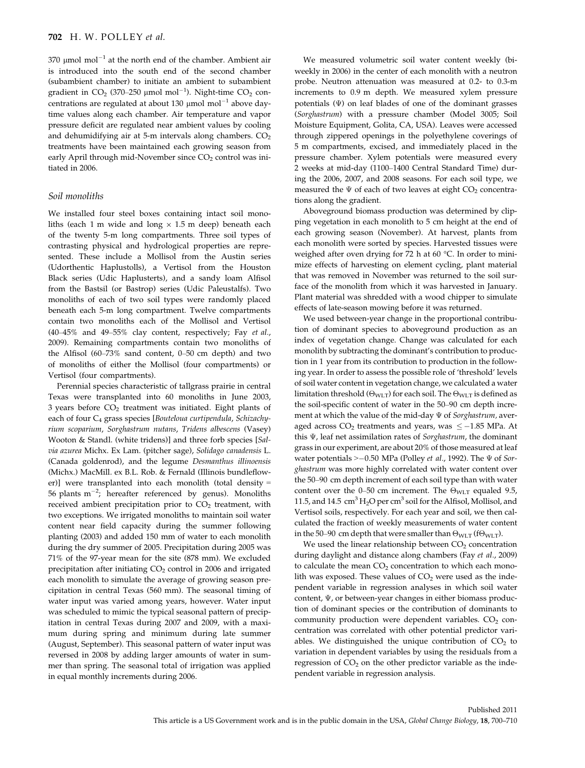$370 \text{ \mu}$  mol mol<sup>-1</sup> at the north end of the chamber. Ambient air is introduced into the south end of the second chamber (subambient chamber) to initiate an ambient to subambient gradient in  $CO_2$  (370–250 µmol mol<sup>-1</sup>). Night-time  $CO_2$  concentrations are regulated at about 130  $\mu$ mol mol<sup>-1</sup> above daytime values along each chamber. Air temperature and vapor pressure deficit are regulated near ambient values by cooling and dehumidifying air at 5-m intervals along chambers.  $CO<sub>2</sub>$ treatments have been maintained each growing season from early April through mid-November since CO<sub>2</sub> control was initiated in 2006.

# Soil monoliths

We installed four steel boxes containing intact soil monoliths (each 1 m wide and long  $\times$  1.5 m deep) beneath each of the twenty 5-m long compartments. Three soil types of contrasting physical and hydrological properties are represented. These include a Mollisol from the Austin series (Udorthentic Haplustolls), a Vertisol from the Houston Black series (Udic Haplusterts), and a sandy loam Alfisol from the Bastsil (or Bastrop) series (Udic Paleustalfs). Two monoliths of each of two soil types were randomly placed beneath each 5-m long compartment. Twelve compartments contain two monoliths each of the Mollisol and Vertisol (40–45% and 49–55% clay content, respectively; Fay et al., 2009). Remaining compartments contain two monoliths of the Alfisol (60–73% sand content, 0–50 cm depth) and two of monoliths of either the Mollisol (four compartments) or Vertisol (four compartments).

Perennial species characteristic of tallgrass prairie in central Texas were transplanted into 60 monoliths in June 2003,  $3$  years before  $CO<sub>2</sub>$  treatment was initiated. Eight plants of each of four C<sub>4</sub> grass species [Bouteloua curtipendula, Schizachyrium scoparium, Sorghastrum nutans, Tridens albescens (Vasey) Wooton & Standl. (white tridens)] and three forb species [Salvia azurea Michx. Ex Lam. (pitcher sage), Solidago canadensis L. (Canada goldenrod), and the legume Desmanthus illinoensis (Michx.) MacMill. ex B.L. Rob. & Fernald (Illinois bundleflower)] were transplanted into each monolith (total density = 56 plants  $m^{-2}$ ; hereafter referenced by genus). Monoliths received ambient precipitation prior to  $CO<sub>2</sub>$  treatment, with two exceptions. We irrigated monoliths to maintain soil water content near field capacity during the summer following planting (2003) and added 150 mm of water to each monolith during the dry summer of 2005. Precipitation during 2005 was 71% of the 97-year mean for the site (878 mm). We excluded precipitation after initiating  $CO<sub>2</sub>$  control in 2006 and irrigated each monolith to simulate the average of growing season precipitation in central Texas (560 mm). The seasonal timing of water input was varied among years, however. Water input was scheduled to mimic the typical seasonal pattern of precipitation in central Texas during 2007 and 2009, with a maximum during spring and minimum during late summer (August, September). This seasonal pattern of water input was reversed in 2008 by adding larger amounts of water in summer than spring. The seasonal total of irrigation was applied in equal monthly increments during 2006.

We measured volumetric soil water content weekly (biweekly in 2006) in the center of each monolith with a neutron probe. Neutron attenuation was measured at 0.2- to 0.3-m increments to 0.9 m depth. We measured xylem pressure potentials (Ψ) on leaf blades of one of the dominant grasses (Sorghastrum) with a pressure chamber (Model 3005; Soil Moisture Equipment, Golita, CA, USA). Leaves were accessed through zippered openings in the polyethylene coverings of 5 m compartments, excised, and immediately placed in the pressure chamber. Xylem potentials were measured every 2 weeks at mid-day (1100–1400 Central Standard Time) during the 2006, 2007, and 2008 seasons. For each soil type, we measured the  $\Psi$  of each of two leaves at eight  $CO<sub>2</sub>$  concentrations along the gradient.

Aboveground biomass production was determined by clipping vegetation in each monolith to 5 cm height at the end of each growing season (November). At harvest, plants from each monolith were sorted by species. Harvested tissues were weighed after oven drying for 72 h at 60 °C. In order to minimize effects of harvesting on element cycling, plant material that was removed in November was returned to the soil surface of the monolith from which it was harvested in January. Plant material was shredded with a wood chipper to simulate effects of late-season mowing before it was returned.

We used between-year change in the proportional contribution of dominant species to aboveground production as an index of vegetation change. Change was calculated for each monolith by subtracting the dominant's contribution to production in 1 year from its contribution to production in the following year. In order to assess the possible role of 'threshold' levels of soil water content in vegetation change, we calculated a water limitation threshold ( $\Theta_{\text{WLT}}$ ) for each soil. The  $\Theta_{\text{WLT}}$  is defined as the soil-specific content of water in the 50–90 cm depth increment at which the value of the mid-day  $\Psi$  of Sorghastrum, averaged across  $CO<sub>2</sub>$  treatments and years, was  $\leq -1.85$  MPa. At this Ψ, leaf net assimilation rates of Sorghastrum, the dominant grass in our experiment, are about 20% of those measured at leaf water potentials  $\geq -0.50$  MPa (Polley et al., 1992). The  $\Psi$  of Sorghastrum was more highly correlated with water content over the 50–90 cm depth increment of each soil type than with water content over the 0–50 cm increment. The  $\Theta_{\text{WLT}}$  equaled 9.5, 11.5, and 14.5  $\text{cm}^3 \text{H}_2\text{O}$  per  $\text{cm}^3$  soil for the Alfisol, Mollisol, and Vertisol soils, respectively. For each year and soil, we then calculated the fraction of weekly measurements of water content in the 50–90 cm depth that were smaller than  $\Theta_{WLT}$  (f $\Theta_{WLT}$ ).

We used the linear relationship between  $CO<sub>2</sub>$  concentration during daylight and distance along chambers (Fay et al., 2009) to calculate the mean  $CO<sub>2</sub>$  concentration to which each monolith was exposed. These values of  $CO<sub>2</sub>$  were used as the independent variable in regression analyses in which soil water content, Ψ, or between-year changes in either biomass production of dominant species or the contribution of dominants to community production were dependent variables.  $CO<sub>2</sub>$  concentration was correlated with other potential predictor variables. We distinguished the unique contribution of  $CO<sub>2</sub>$  to variation in dependent variables by using the residuals from a regression of  $CO<sub>2</sub>$  on the other predictor variable as the independent variable in regression analysis.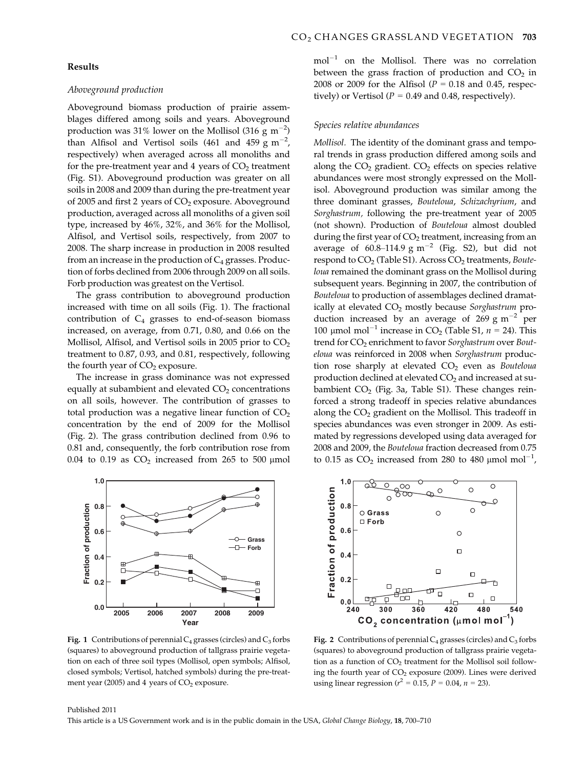# Results

#### Aboveground production

Aboveground biomass production of prairie assemblages differed among soils and years. Aboveground production was 31% lower on the Mollisol (316  $\rm g\ m^{-2})$ than Alfisol and Vertisol soils (461 and 459  $\text{g m}^{-2}$ , respectively) when averaged across all monoliths and for the pre-treatment year and 4 years of  $CO<sub>2</sub>$  treatment (Fig. S1). Aboveground production was greater on all soils in 2008 and 2009 than during the pre-treatment year of 2005 and first 2 years of  $CO<sub>2</sub>$  exposure. Aboveground production, averaged across all monoliths of a given soil type, increased by 46%, 32%, and 36% for the Mollisol, Alfisol, and Vertisol soils, respectively, from 2007 to 2008. The sharp increase in production in 2008 resulted from an increase in the production of  $C_4$  grasses. Production of forbs declined from 2006 through 2009 on all soils. Forb production was greatest on the Vertisol.

The grass contribution to aboveground production increased with time on all soils (Fig. 1). The fractional contribution of  $C_4$  grasses to end-of-season biomass increased, on average, from 0.71, 0.80, and 0.66 on the Mollisol, Alfisol, and Vertisol soils in 2005 prior to  $CO<sub>2</sub>$ treatment to 0.87, 0.93, and 0.81, respectively, following the fourth year of  $CO<sub>2</sub>$  exposure.

The increase in grass dominance was not expressed equally at subambient and elevated  $CO<sub>2</sub>$  concentrations on all soils, however. The contribution of grasses to total production was a negative linear function of  $CO<sub>2</sub>$ concentration by the end of 2009 for the Mollisol (Fig. 2). The grass contribution declined from 0.96 to 0.81 and, consequently, the forb contribution rose from 0.04 to 0.19 as  $CO<sub>2</sub>$  increased from 265 to 500 µmol



Fig. 1 Contributions of perennial  $C_4$  grasses (circles) and  $C_3$  forbs (squares) to aboveground production of tallgrass prairie vegetation on each of three soil types (Mollisol, open symbols; Alfisol, closed symbols; Vertisol, hatched symbols) during the pre-treatment year (2005) and 4 years of  $CO<sub>2</sub>$  exposure.

 $mol^{-1}$  on the Mollisol. There was no correlation between the grass fraction of production and  $CO<sub>2</sub>$  in 2008 or 2009 for the Alfisol ( $P = 0.18$  and 0.45, respectively) or Vertisol ( $P = 0.49$  and 0.48, respectively).

#### Species relative abundances

Mollisol. The identity of the dominant grass and temporal trends in grass production differed among soils and along the  $CO<sub>2</sub>$  gradient.  $CO<sub>2</sub>$  effects on species relative abundances were most strongly expressed on the Mollisol. Aboveground production was similar among the three dominant grasses, Bouteloua, Schizachyrium, and Sorghastrum, following the pre-treatment year of 2005 (not shown). Production of Bouteloua almost doubled during the first year of  $CO<sub>2</sub>$  treatment, increasing from an average of 60.8–114.9 g  $m^{-2}$  (Fig. S2), but did not respond to  $CO<sub>2</sub>$  (Table S1). Across  $CO<sub>2</sub>$  treatments, Bouteloua remained the dominant grass on the Mollisol during subsequent years. Beginning in 2007, the contribution of Bouteloua to production of assemblages declined dramatically at elevated CO<sub>2</sub> mostly because Sorghastrum production increased by an average of 269 g  $\text{m}^{-2}$  per 100 µmol mol<sup>-1</sup> increase in CO<sub>2</sub> (Table S1,  $n = 24$ ). This trend for CO<sub>2</sub> enrichment to favor Sorghastrum over Bouteloua was reinforced in 2008 when Sorghastrum production rose sharply at elevated  $CO<sub>2</sub>$  even as Bouteloua production declined at elevated CO<sub>2</sub> and increased at subambient  $CO<sub>2</sub>$  (Fig. 3a, Table S1). These changes reinforced a strong tradeoff in species relative abundances along the  $CO<sub>2</sub>$  gradient on the Mollisol. This tradeoff in species abundances was even stronger in 2009. As estimated by regressions developed using data averaged for 2008 and 2009, the Bouteloua fraction decreased from 0.75 to 0.15 as  $CO<sub>2</sub>$  increased from 280 to 480  $\mu$ mol mol<sup>-1</sup>,



Fig. 2 Contributions of perennial  $C_4$  grasses (circles) and  $C_3$  forbs (squares) to aboveground production of tallgrass prairie vegetation as a function of  $CO<sub>2</sub>$  treatment for the Mollisol soil following the fourth year of  $CO<sub>2</sub>$  exposure (2009). Lines were derived using linear regression ( $r^2 = 0.15$ ,  $P = 0.04$ ,  $n = 23$ ).

#### Published 2011

This article is a US Government work and is in the public domain in the USA, Global Change Biology, 18, 700–710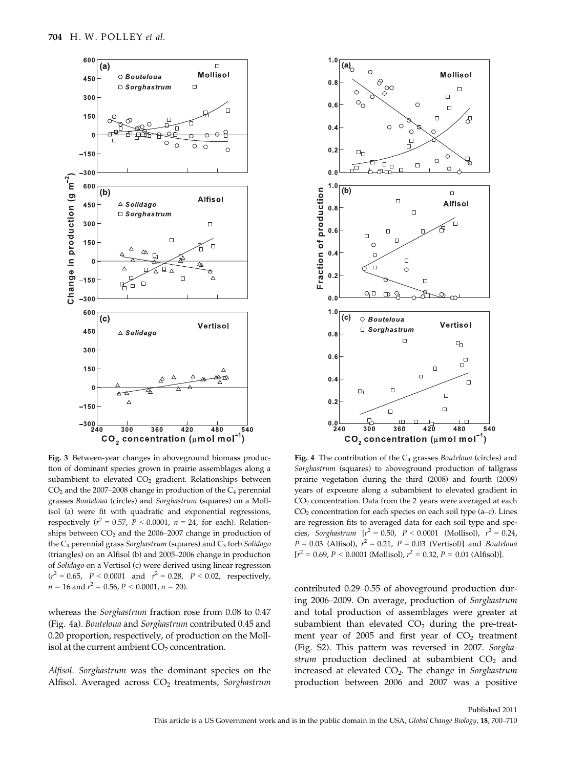

Fig. 3 Between-year changes in aboveground biomass production of dominant species grown in prairie assemblages along a subambient to elevated  $CO<sub>2</sub>$  gradient. Relationships between  $CO<sub>2</sub>$  and the 2007–2008 change in production of the  $C<sub>4</sub>$  perennial grasses Bouteloua (circles) and Sorghastrum (squares) on a Mollisol (a) were fit with quadratic and exponential regressions, respectively ( $r^2 = 0.57$ ,  $P < 0.0001$ ,  $n = 24$ , for each). Relationships between  $CO<sub>2</sub>$  and the 2006–2007 change in production of the  $C_4$  perennial grass Sorghastrum (squares) and  $C_3$  forb Solidago (triangles) on an Alfisol (b) and 2005–2006 change in production of Solidago on a Vertisol (c) were derived using linear regression  $(r^2 = 0.65, P < 0.0001$  and  $r^2 = 0.28, P < 0.02$ , respectively,  $n = 16$  and  $r^2 = 0.56$ ,  $P < 0.0001$ ,  $n = 20$ ).

whereas the Sorghastrum fraction rose from 0.08 to 0.47 (Fig. 4a). Bouteloua and Sorghastrum contributed 0.45 and 0.20 proportion, respectively, of production on the Mollisol at the current ambient  $CO<sub>2</sub>$  concentration.

Alfisol. Sorghastrum was the dominant species on the Alfisol. Averaged across  $CO<sub>2</sub>$  treatments, Sorghastrum



Fig. 4 The contribution of the  $C_4$  grasses Bouteloua (circles) and Sorghastrum (squares) to aboveground production of tallgrass prairie vegetation during the third (2008) and fourth (2009) years of exposure along a subambient to elevated gradient in CO<sub>2</sub> concentration. Data from the 2 years were averaged at each  $CO<sub>2</sub>$  concentration for each species on each soil type (a–c). Lines are regression fits to averaged data for each soil type and species, Sorghastrum  $[r^2 = 0.50, P < 0.0001$  (Mollisol),  $r^2 = 0.24$ ,  $P = 0.03$  (Alfisol),  $r^2 = 0.21$ ,  $P = 0.03$  (Vertisol)] and *Bouteloua*  $[r^2 = 0.69, P < 0.0001$  (Mollisol),  $r^2 = 0.32, P = 0.01$  (Alfisol)].

contributed 0.29–0.55 of aboveground production during 2006–2009. On average, production of Sorghastrum and total production of assemblages were greater at subambient than elevated  $CO<sub>2</sub>$  during the pre-treatment year of 2005 and first year of  $CO<sub>2</sub>$  treatment (Fig. S2). This pattern was reversed in 2007. Sorghastrum production declined at subambient  $CO<sub>2</sub>$  and increased at elevated  $CO<sub>2</sub>$ . The change in Sorghastrum production between 2006 and 2007 was a positive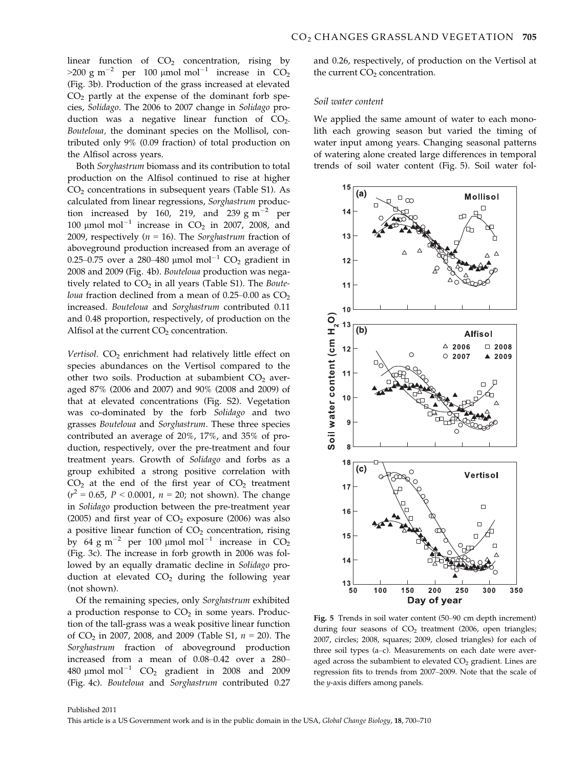linear function of  $CO<sub>2</sub>$  concentration, rising by  $>200 \text{ g m}^{-2}$  per 100 µmol mol<sup>-1</sup> increase in CO<sub>2</sub> (Fig. 3b). Production of the grass increased at elevated  $CO<sub>2</sub>$  partly at the expense of the dominant forb species, Solidago. The 2006 to 2007 change in Solidago production was a negative linear function of  $CO<sub>2</sub>$ . Bouteloua, the dominant species on the Mollisol, contributed only 9% (0.09 fraction) of total production on the Alfisol across years.

Both Sorghastrum biomass and its contribution to total production on the Alfisol continued to rise at higher  $CO<sub>2</sub>$  concentrations in subsequent years (Table S1). As calculated from linear regressions, Sorghastrum production increased by 160, 219, and 239 g m<sup>-2</sup> per 100  $\mu$ mol mol<sup>-1</sup> increase in CO<sub>2</sub> in 2007, 2008, and 2009, respectively ( $n = 16$ ). The Sorghastrum fraction of aboveground production increased from an average of 0.25–0.75 over a 280–480 µmol mol<sup>-1</sup> CO<sub>2</sub> gradient in 2008 and 2009 (Fig. 4b). Bouteloua production was negatively related to  $CO<sub>2</sub>$  in all years (Table S1). The Bouteloua fraction declined from a mean of  $0.25-0.00$  as  $CO<sub>2</sub>$ increased. Bouteloua and Sorghastrum contributed 0.11 and 0.48 proportion, respectively, of production on the Alfisol at the current  $CO<sub>2</sub>$  concentration.

Vertisol.  $CO<sub>2</sub>$  enrichment had relatively little effect on species abundances on the Vertisol compared to the other two soils. Production at subambient  $CO<sub>2</sub>$  averaged 87% (2006 and 2007) and 90% (2008 and 2009) of that at elevated concentrations (Fig. S2). Vegetation was co-dominated by the forb Solidago and two grasses Bouteloua and Sorghastrum. These three species contributed an average of 20%, 17%, and 35% of production, respectively, over the pre-treatment and four treatment years. Growth of Solidago and forbs as a group exhibited a strong positive correlation with  $CO<sub>2</sub>$  at the end of the first year of  $CO<sub>2</sub>$  treatment  $(r^2 = 0.65, P < 0.0001, n = 20;$  not shown). The change in Solidago production between the pre-treatment year (2005) and first year of  $CO<sub>2</sub>$  exposure (2006) was also a positive linear function of  $CO<sub>2</sub>$  concentration, rising by 64 g m<sup>-2</sup> per 100 µmol mol<sup>-1</sup> increase in  $CO<sub>2</sub>$ (Fig. 3c). The increase in forb growth in 2006 was followed by an equally dramatic decline in Solidago production at elevated  $CO<sub>2</sub>$  during the following year (not shown).

Of the remaining species, only Sorghastrum exhibited a production response to  $CO<sub>2</sub>$  in some years. Production of the tall-grass was a weak positive linear function of  $CO_2$  in 2007, 2008, and 2009 (Table S1,  $n = 20$ ). The Sorghastrum fraction of aboveground production increased from a mean of 0.08–0.42 over a 280– 480  $\mu$ mol mol<sup>-1</sup> CO<sub>2</sub> gradient in 2008 and 2009 (Fig. 4c). Bouteloua and Sorghastrum contributed 0.27 and 0.26, respectively, of production on the Vertisol at the current  $CO<sub>2</sub>$  concentration.

#### Soil water content

We applied the same amount of water to each monolith each growing season but varied the timing of water input among years. Changing seasonal patterns of watering alone created large differences in temporal trends of soil water content (Fig. 5). Soil water fol-



Fig. 5 Trends in soil water content (50–90 cm depth increment) during four seasons of  $CO<sub>2</sub>$  treatment (2006, open triangles; 2007, circles; 2008, squares; 2009, closed triangles) for each of three soil types (a–c). Measurements on each date were averaged across the subambient to elevated  $CO<sub>2</sub>$  gradient. Lines are regression fits to trends from 2007–2009. Note that the scale of the y-axis differs among panels.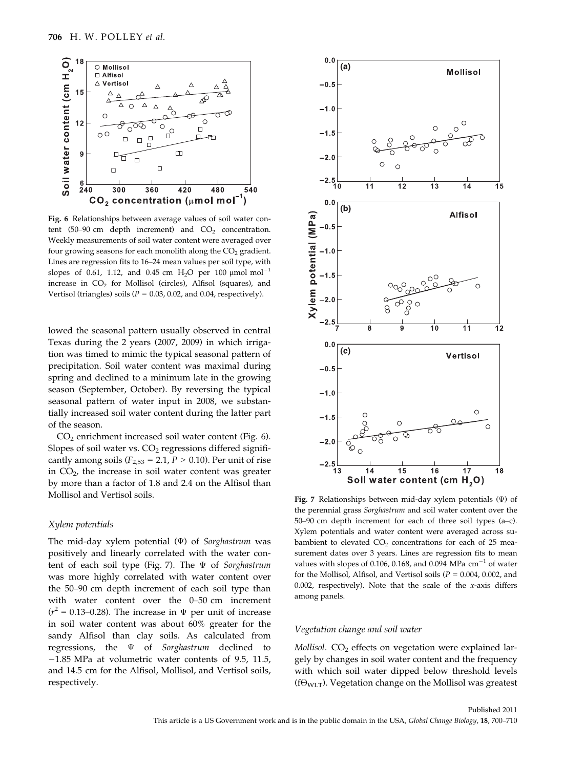

Fig. 6 Relationships between average values of soil water content (50–90 cm depth increment) and  $CO<sub>2</sub>$  concentration. Weekly measurements of soil water content were averaged over four growing seasons for each monolith along the  $CO<sub>2</sub>$  gradient. Lines are regression fits to 16–24 mean values per soil type, with slopes of 0.61, 1.12, and 0.45 cm  $H_2O$  per 100  $\mu$ mol mol<sup>-1</sup> increase in  $CO<sub>2</sub>$  for Mollisol (circles), Alfisol (squares), and Vertisol (triangles) soils ( $P = 0.03$ , 0.02, and 0.04, respectively).

lowed the seasonal pattern usually observed in central Texas during the 2 years (2007, 2009) in which irrigation was timed to mimic the typical seasonal pattern of precipitation. Soil water content was maximal during spring and declined to a minimum late in the growing season (September, October). By reversing the typical seasonal pattern of water input in 2008, we substantially increased soil water content during the latter part of the season.

 $CO<sub>2</sub>$  enrichment increased soil water content (Fig. 6). Slopes of soil water vs.  $CO<sub>2</sub>$  regressions differed significantly among soils ( $F_{2,53}$  = 2.1,  $P > 0.10$ ). Per unit of rise in CO2, the increase in soil water content was greater by more than a factor of 1.8 and 2.4 on the Alfisol than Mollisol and Vertisol soils.

#### Xylem potentials

The mid-day xylem potential  $(\Psi)$  of Sorghastrum was positively and linearly correlated with the water content of each soil type (Fig. 7). The  $\Psi$  of Sorghastrum was more highly correlated with water content over the 50–90 cm depth increment of each soil type than with water content over the 0–50 cm increment  $(r^2 = 0.13{\text -}0.28)$ . The increase in  $\Psi$  per unit of increase in soil water content was about 60% greater for the sandy Alfisol than clay soils. As calculated from regressions, the  $\Psi$  of Sorghastrum declined to  $-1.85$  MPa at volumetric water contents of 9.5, 11.5, and 14.5 cm for the Alfisol, Mollisol, and Vertisol soils, respectively.



Fig. 7 Relationships between mid-day xylem potentials  $(\Psi)$  of the perennial grass Sorghastrum and soil water content over the 50–90 cm depth increment for each of three soil types (a–c). Xylem potentials and water content were averaged across subambient to elevated  $CO<sub>2</sub>$  concentrations for each of 25 measurement dates over 3 years. Lines are regression fits to mean values with slopes of 0.106, 0.168, and 0.094 MPa  $\text{cm}^{-1}$  of water for the Mollisol, Alfisol, and Vertisol soils ( $P = 0.004$ , 0.002, and 0.002, respectively). Note that the scale of the x-axis differs among panels.

## Vegetation change and soil water

Mollisol.  $CO<sub>2</sub>$  effects on vegetation were explained largely by changes in soil water content and the frequency with which soil water dipped below threshold levels ( $f\Theta_{WLT}$ ). Vegetation change on the Mollisol was greatest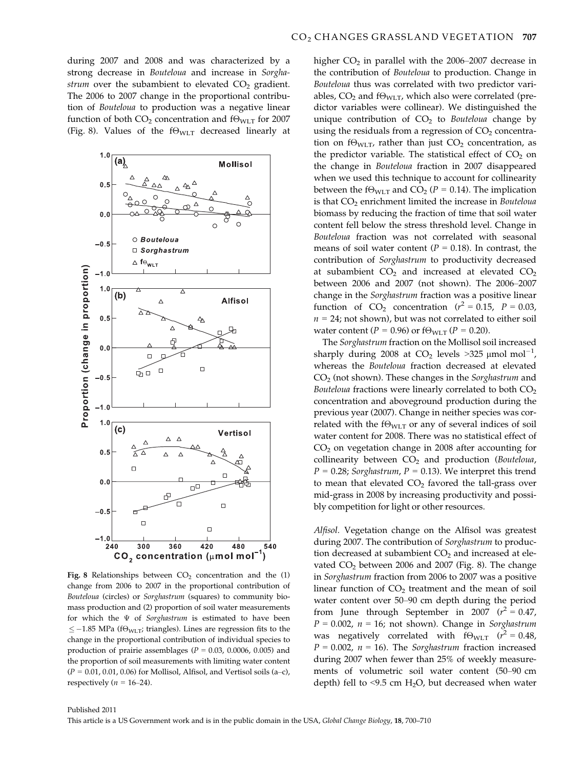during 2007 and 2008 and was characterized by a strong decrease in Bouteloua and increase in Sorghastrum over the subambient to elevated  $CO<sub>2</sub>$  gradient. The 2006 to 2007 change in the proportional contribution of Bouteloua to production was a negative linear function of both  $CO_2$  concentration and  $f\Theta_{\text{WLT}}$  for 2007 (Fig. 8). Values of the  $f\Theta_{WLT}$  decreased linearly at



Fig. 8 Relationships between  $CO<sub>2</sub>$  concentration and the (1) change from 2006 to 2007 in the proportional contribution of Bouteloua (circles) or Sorghastrum (squares) to community biomass production and (2) proportion of soil water measurements for which the  $\Psi$  of Sorghastrum is estimated to have been  $\le$  -1.85 MPa (f $\Theta_{\text{WLT}}$ ; triangles). Lines are regression fits to the change in the proportional contribution of individual species to production of prairie assemblages ( $P = 0.03$ , 0.0006, 0.005) and the proportion of soil measurements with limiting water content  $(P = 0.01, 0.01, 0.06)$  for Mollisol, Alfisol, and Vertisol soils (a–c), respectively ( $n = 16-24$ ).

higher  $CO<sub>2</sub>$  in parallel with the 2006–2007 decrease in the contribution of Bouteloua to production. Change in Bouteloua thus was correlated with two predictor variables,  $CO<sub>2</sub>$  and f $\Theta_{\text{WLT}}$ , which also were correlated (predictor variables were collinear). We distinguished the unique contribution of  $CO<sub>2</sub>$  to Bouteloua change by using the residuals from a regression of  $CO<sub>2</sub>$  concentration on  $f\Theta_{\text{WLT}}$ , rather than just  $CO_2$  concentration, as the predictor variable. The statistical effect of  $CO<sub>2</sub>$  on the change in Bouteloua fraction in 2007 disappeared when we used this technique to account for collinearity between the f $\Theta_{\text{WLT}}$  and CO<sub>2</sub> (P = 0.14). The implication is that  $CO<sub>2</sub>$  enrichment limited the increase in Bouteloua biomass by reducing the fraction of time that soil water content fell below the stress threshold level. Change in Bouteloua fraction was not correlated with seasonal means of soil water content ( $P = 0.18$ ). In contrast, the contribution of Sorghastrum to productivity decreased at subambient  $CO<sub>2</sub>$  and increased at elevated  $CO<sub>2</sub>$ between 2006 and 2007 (not shown). The 2006–2007 change in the Sorghastrum fraction was a positive linear function of  $CO<sub>2</sub>$  concentration ( $r<sup>2</sup> = 0.15$ ,  $P = 0.03$ ,  $n = 24$ ; not shown), but was not correlated to either soil water content ( $P = 0.96$ ) or  $f\Theta_{\text{WLT}}$  ( $P = 0.20$ ).

The Sorghastrum fraction on the Mollisol soil increased sharply during 2008 at  $CO_2$  levels >325  $\mu$ mol mol<sup>-1</sup>, whereas the Bouteloua fraction decreased at elevated  $CO<sub>2</sub>$  (not shown). These changes in the Sorghastrum and Bouteloua fractions were linearly correlated to both  $CO<sub>2</sub>$ concentration and aboveground production during the previous year (2007). Change in neither species was correlated with the f $\Theta_{\text{WIT}}$  or any of several indices of soil water content for 2008. There was no statistical effect of CO2 on vegetation change in 2008 after accounting for collinearity between  $CO<sub>2</sub>$  and production (Bouteloua,  $P = 0.28$ ; Sorghastrum,  $P = 0.13$ ). We interpret this trend to mean that elevated  $CO<sub>2</sub>$  favored the tall-grass over mid-grass in 2008 by increasing productivity and possibly competition for light or other resources.

Alfisol. Vegetation change on the Alfisol was greatest during 2007. The contribution of Sorghastrum to production decreased at subambient  $CO<sub>2</sub>$  and increased at elevated  $CO<sub>2</sub>$  between 2006 and 2007 (Fig. 8). The change in Sorghastrum fraction from 2006 to 2007 was a positive linear function of  $CO<sub>2</sub>$  treatment and the mean of soil water content over 50–90 cm depth during the period from June through September in 2007 ( $r^2 = 0.47$ )  $P = 0.002$ ,  $n = 16$ ; not shown). Change in Sorghastrum was negatively correlated with  $f\Theta_{WLT}$  ( $r^2 = 0.48$ ,  $P = 0.002$ ,  $n = 16$ ). The Sorghastrum fraction increased during 2007 when fewer than 25% of weekly measurements of volumetric soil water content (50–90 cm depth) fell to <9.5 cm  $H_2O$ , but decreased when water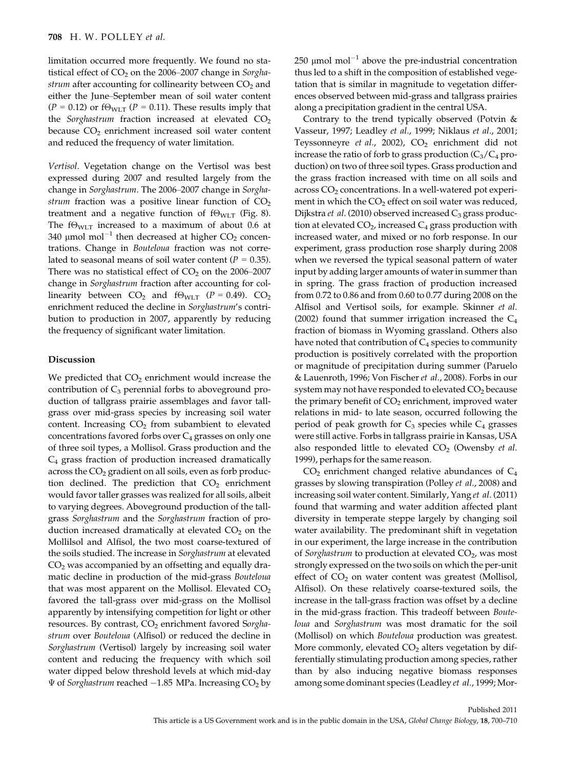limitation occurred more frequently. We found no statistical effect of  $CO<sub>2</sub>$  on the 2006–2007 change in Sorghastrum after accounting for collinearity between  $CO<sub>2</sub>$  and either the June–September mean of soil water content ( $P = 0.12$ ) or f $\Theta_{WLT}$  ( $P = 0.11$ ). These results imply that the Sorghastrum fraction increased at elevated  $CO<sub>2</sub>$ because  $CO<sub>2</sub>$  enrichment increased soil water content and reduced the frequency of water limitation.

Vertisol. Vegetation change on the Vertisol was best expressed during 2007 and resulted largely from the change in Sorghastrum. The 2006–2007 change in Sorghastrum fraction was a positive linear function of  $CO<sub>2</sub>$ treatment and a negative function of  $f\Theta_{WLT}$  (Fig. 8). The f $\Theta_{\text{WLT}}$  increased to a maximum of about 0.6 at 340 µmol mol<sup>-1</sup> then decreased at higher  $CO<sub>2</sub>$  concentrations. Change in Bouteloua fraction was not correlated to seasonal means of soil water content ( $P = 0.35$ ). There was no statistical effect of  $CO<sub>2</sub>$  on the 2006–2007 change in Sorghastrum fraction after accounting for collinearity between  $CO_2$  and  $f\Theta_{WLT}$  ( $P = 0.49$ ).  $CO_2$ enrichment reduced the decline in Sorghastrum's contribution to production in 2007, apparently by reducing the frequency of significant water limitation.

## Discussion

We predicted that  $CO<sub>2</sub>$  enrichment would increase the contribution of  $C_3$  perennial forbs to aboveground production of tallgrass prairie assemblages and favor tallgrass over mid-grass species by increasing soil water content. Increasing  $CO<sub>2</sub>$  from subambient to elevated concentrations favored forbs over  $C_4$  grasses on only one of three soil types, a Mollisol. Grass production and the C4 grass fraction of production increased dramatically across the  $CO<sub>2</sub>$  gradient on all soils, even as forb production declined. The prediction that  $CO<sub>2</sub>$  enrichment would favor taller grasses was realized for all soils, albeit to varying degrees. Aboveground production of the tallgrass Sorghastrum and the Sorghastrum fraction of production increased dramatically at elevated  $CO<sub>2</sub>$  on the Mollilsol and Alfisol, the two most coarse-textured of the soils studied. The increase in Sorghastrum at elevated CO<sub>2</sub> was accompanied by an offsetting and equally dramatic decline in production of the mid-grass Bouteloua that was most apparent on the Mollisol. Elevated  $CO<sub>2</sub>$ favored the tall-grass over mid-grass on the Mollisol apparently by intensifying competition for light or other resources. By contrast,  $CO<sub>2</sub>$  enrichment favored Sorghastrum over Bouteloua (Alfisol) or reduced the decline in Sorghastrum (Vertisol) largely by increasing soil water content and reducing the frequency with which soil water dipped below threshold levels at which mid-day  $\Psi$  of Sorghastrum reached -1.85 MPa. Increasing CO<sub>2</sub> by 250  $\mu$ mol mol<sup>-1</sup> above the pre-industrial concentration thus led to a shift in the composition of established vegetation that is similar in magnitude to vegetation differences observed between mid-grass and tallgrass prairies along a precipitation gradient in the central USA.

Contrary to the trend typically observed (Potvin & Vasseur, 1997; Leadley et al., 1999; Niklaus et al., 2001; Teyssonneyre et al., 2002),  $CO<sub>2</sub>$  enrichment did not increase the ratio of forb to grass production  $(C_3/C_4$  production) on two of three soil types. Grass production and the grass fraction increased with time on all soils and across  $CO<sub>2</sub>$  concentrations. In a well-watered pot experiment in which the  $CO<sub>2</sub>$  effect on soil water was reduced, Dijkstra et al. (2010) observed increased  $C_3$  grass production at elevated  $CO<sub>2</sub>$ , increased  $C<sub>4</sub>$  grass production with increased water, and mixed or no forb response. In our experiment, grass production rose sharply during 2008 when we reversed the typical seasonal pattern of water input by adding larger amounts of water in summer than in spring. The grass fraction of production increased from 0.72 to 0.86 and from 0.60 to 0.77 during 2008 on the Alfisol and Vertisol soils, for example. Skinner et al. (2002) found that summer irrigation increased the  $C_4$ fraction of biomass in Wyoming grassland. Others also have noted that contribution of  $C_4$  species to community production is positively correlated with the proportion or magnitude of precipitation during summer (Paruelo & Lauenroth, 1996; Von Fischer et al., 2008). Forbs in our system may not have responded to elevated  $CO<sub>2</sub>$  because the primary benefit of  $CO<sub>2</sub>$  enrichment, improved water relations in mid- to late season, occurred following the period of peak growth for  $C_3$  species while  $C_4$  grasses were still active. Forbs in tallgrass prairie in Kansas, USA also responded little to elevated  $CO<sub>2</sub>$  (Owensby *et al.*) 1999), perhaps for the same reason.

 $CO<sub>2</sub>$  enrichment changed relative abundances of  $C<sub>4</sub>$ grasses by slowing transpiration (Polley et al., 2008) and increasing soil water content. Similarly, Yang et al. (2011) found that warming and water addition affected plant diversity in temperate steppe largely by changing soil water availability. The predominant shift in vegetation in our experiment, the large increase in the contribution of Sorghastrum to production at elevated  $CO<sub>2</sub>$ , was most strongly expressed on the two soils on which the per-unit effect of  $CO<sub>2</sub>$  on water content was greatest (Mollisol, Alfisol). On these relatively coarse-textured soils, the increase in the tall-grass fraction was offset by a decline in the mid-grass fraction. This tradeoff between Bouteloua and Sorghastrum was most dramatic for the soil (Mollisol) on which Bouteloua production was greatest. More commonly, elevated  $CO<sub>2</sub>$  alters vegetation by differentially stimulating production among species, rather than by also inducing negative biomass responses among some dominant species (Leadley et al., 1999; Mor-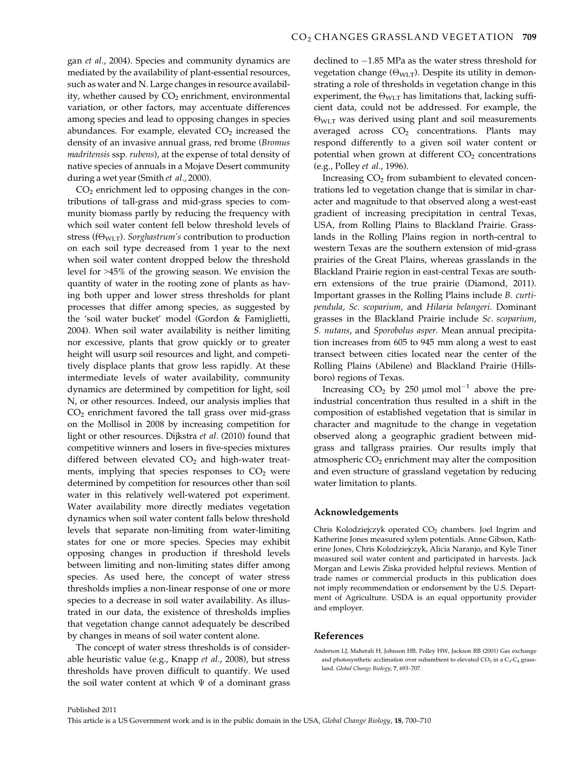gan et al., 2004). Species and community dynamics are mediated by the availability of plant-essential resources, such as water and N. Large changes in resource availability, whether caused by  $CO<sub>2</sub>$  enrichment, environmental variation, or other factors, may accentuate differences among species and lead to opposing changes in species abundances. For example, elevated  $CO<sub>2</sub>$  increased the density of an invasive annual grass, red brome (Bromus madritensis ssp. rubens), at the expense of total density of native species of annuals in a Mojave Desert community during a wet year (Smith et al., 2000).

 $CO<sub>2</sub>$  enrichment led to opposing changes in the contributions of tall-grass and mid-grass species to community biomass partly by reducing the frequency with which soil water content fell below threshold levels of stress (f $\Theta_{\text{WLT}}$ ). Sorghastrum's contribution to production on each soil type decreased from 1 year to the next when soil water content dropped below the threshold level for >45% of the growing season. We envision the quantity of water in the rooting zone of plants as having both upper and lower stress thresholds for plant processes that differ among species, as suggested by the 'soil water bucket' model (Gordon & Famiglietti, 2004). When soil water availability is neither limiting nor excessive, plants that grow quickly or to greater height will usurp soil resources and light, and competitively displace plants that grow less rapidly. At these intermediate levels of water availability, community dynamics are determined by competition for light, soil N, or other resources. Indeed, our analysis implies that CO2 enrichment favored the tall grass over mid-grass on the Mollisol in 2008 by increasing competition for light or other resources. Dijkstra et al. (2010) found that competitive winners and losers in five-species mixtures differed between elevated  $CO<sub>2</sub>$  and high-water treatments, implying that species responses to  $CO<sub>2</sub>$  were determined by competition for resources other than soil water in this relatively well-watered pot experiment. Water availability more directly mediates vegetation dynamics when soil water content falls below threshold levels that separate non-limiting from water-limiting states for one or more species. Species may exhibit opposing changes in production if threshold levels between limiting and non-limiting states differ among species. As used here, the concept of water stress thresholds implies a non-linear response of one or more species to a decrease in soil water availability. As illustrated in our data, the existence of thresholds implies that vegetation change cannot adequately be described by changes in means of soil water content alone.

The concept of water stress thresholds is of considerable heuristic value (e.g., Knapp et al., 2008), but stress thresholds have proven difficult to quantify. We used the soil water content at which  $\Psi$  of a dominant grass

declined to  $-1.85$  MPa as the water stress threshold for vegetation change  $(\Theta_{\text{WLT}})$ . Despite its utility in demonstrating a role of thresholds in vegetation change in this experiment, the  $\Theta_{\text{WLT}}$  has limitations that, lacking sufficient data, could not be addressed. For example, the  $\Theta_{\text{WLT}}$  was derived using plant and soil measurements averaged across  $CO<sub>2</sub>$  concentrations. Plants may respond differently to a given soil water content or potential when grown at different  $CO<sub>2</sub>$  concentrations (e.g., Polley et al., 1996).

Increasing  $CO<sub>2</sub>$  from subambient to elevated concentrations led to vegetation change that is similar in character and magnitude to that observed along a west-east gradient of increasing precipitation in central Texas, USA, from Rolling Plains to Blackland Prairie. Grasslands in the Rolling Plains region in north-central to western Texas are the southern extension of mid-grass prairies of the Great Plains, whereas grasslands in the Blackland Prairie region in east-central Texas are southern extensions of the true prairie (Diamond, 2011). Important grasses in the Rolling Plains include B. curtipendula, Sc. scoparium, and Hilaria belangeri. Dominant grasses in the Blackland Prairie include Sc. scoparium, S. nutans, and Sporobolus asper. Mean annual precipitation increases from 605 to 945 mm along a west to east transect between cities located near the center of the Rolling Plains (Abilene) and Blackland Prairie (Hillsboro) regions of Texas.

Increasing  $CO_2$  by 250 µmol mol<sup>-1</sup> above the preindustrial concentration thus resulted in a shift in the composition of established vegetation that is similar in character and magnitude to the change in vegetation observed along a geographic gradient between midgrass and tallgrass prairies. Our results imply that atmospheric  $CO<sub>2</sub>$  enrichment may alter the composition and even structure of grassland vegetation by reducing water limitation to plants.

#### Acknowledgements

Chris Kolodziejczyk operated CO<sub>2</sub> chambers. Joel Ingrim and Katherine Jones measured xylem potentials. Anne Gibson, Katherine Jones, Chris Kolodziejczyk, Alicia Naranjo, and Kyle Tiner measured soil water content and participated in harvests. Jack Morgan and Lewis Ziska provided helpful reviews. Mention of trade names or commercial products in this publication does not imply recommendation or endorsement by the U.S. Department of Agriculture. USDA is an equal opportunity provider and employer.

#### References

Anderson LJ, Maherali H, Johnson HB, Polley HW, Jackson RB (2001) Gas exchange and photosynthetic acclimation over subambient to elevated  $CO<sub>2</sub>$  in a  $C<sub>3</sub>-C<sub>4</sub>$  grassland. Global Change Biology, 7, 693–707.